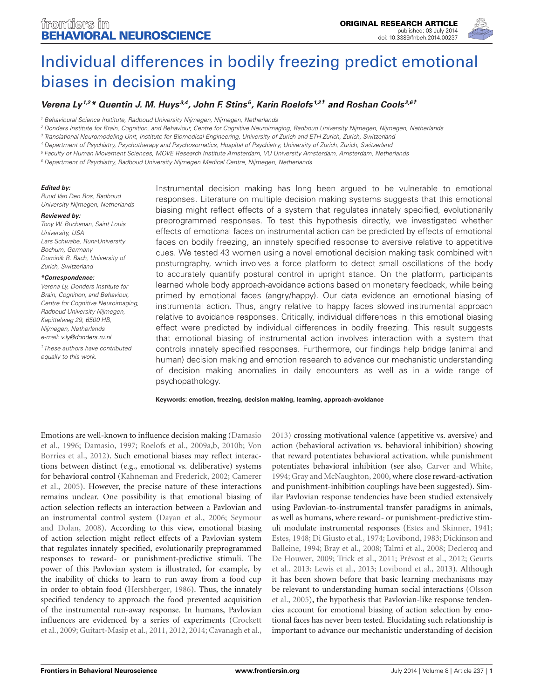

# [Individual differences in bodily freezing predict emotional](http://www.frontiersin.org/Journal/10.3389/fnbeh.2014.00237/abstract) [biases in decision making](http://www.frontiersin.org/Journal/10.3389/fnbeh.2014.00237/abstract)

## **[Verena Ly](http://community.frontiersin.org/people/u/152471)1,2\* [Quentin J. M. Huys](http://community.frontiersin.org/people/u/8749) 3,4 , [John F. Stins](http://community.frontiersin.org/people/u/167713) <sup>5</sup> , [Karin Roelofs](http://community.frontiersin.org/people/u/78236) 1,2† and [Roshan Cools](http://community.frontiersin.org/people/u/2065) 2,6†**

<sup>1</sup> Behavioural Science Institute, Radboud University Nijmegen, Nijmegen, Netherlands

<sup>2</sup> Donders Institute for Brain, Cognition, and Behaviour, Centre for Cognitive Neuroimaging, Radboud University Nijmegen, Nijmegen, Netherlands

<sup>3</sup> Translational Neuromodeling Unit, Institute for Biomedical Engineering, University of Zurich and ETH Zurich, Zurich, Switzerland

<sup>4</sup> Department of Psychiatry, Psychotherapy and Psychosomatics, Hospital of Psychiatry, University of Zurich, Zurich, Switzerland

<sup>5</sup> Faculty of Human Movement Sciences, MOVE Research Institute Amsterdam, VU University Amsterdam, Amsterdam, Netherlands

<sup>6</sup> Department of Psychiatry, Radboud University Nijmegen Medical Centre, Nijmegen, Netherlands

#### **Edited by:**

Ruud Van Den Bos, Radboud University Nijmegen, Netherlands

#### **Reviewed by:**

Tony W. Buchanan, Saint Louis University, USA Lars Schwabe, Ruhr-University Bochum, Germany Dominik R. Bach, University of Zurich, Switzerland

#### **\*Correspondence:**

Verena Ly, Donders Institute for Brain, Cognition, and Behaviour, Centre for Cognitive Neuroimaging Radboud University Nijmegen, Kapittelweg 29, 6500 HB, Nijmegen, Netherlands e-mail: [v.ly@donders.ru.nl](mailto:v.ly@donders.ru.nl)

†These authors have contributed equally to this work.

Instrumental decision making has long been argued to be vulnerable to emotional responses. Literature on multiple decision making systems suggests that this emotional biasing might reflect effects of a system that regulates innately specified, evolutionarily preprogrammed responses. To test this hypothesis directly, we investigated whether effects of emotional faces on instrumental action can be predicted by effects of emotional faces on bodily freezing, an innately specified response to aversive relative to appetitive cues. We tested 43 women using a novel emotional decision making task combined with posturography, which involves a force platform to detect small oscillations of the body to accurately quantify postural control in upright stance. On the platform, participants learned whole body approach-avoidance actions based on monetary feedback, while being primed by emotional faces (angry/happy). Our data evidence an emotional biasing of instrumental action. Thus, angry relative to happy faces slowed instrumental approach relative to avoidance responses. Critically, individual differences in this emotional biasing effect were predicted by individual differences in bodily freezing. This result suggests that emotional biasing of instrumental action involves interaction with a system that controls innately specified responses. Furthermore, our findings help bridge (animal and human) decision making and emotion research to advance our mechanistic understanding of decision making anomalies in daily encounters as well as in a wide range of psychopathology.

#### **Keywords: emotion, freezing, decision making, learning, approach-avoidance**

Emotions are well-known to influence decision making [\(Damasio](#page-7-0) [et al., 1996;](#page-7-0) [Damasio, 1997;](#page-7-1) [Roelofs et al., 2009a](#page-8-0)[,b,](#page-8-1) [2010b;](#page-8-2) [Von](#page-8-3) [Borries et al., 2012\)](#page-8-3). Such emotional biases may reflect interactions between distinct (e.g., emotional vs. deliberative) systems for behavioral control [\(Kahneman and Frederick, 2002;](#page-8-4) [Camerer](#page-7-2) [et al., 2005\)](#page-7-2). However, the precise nature of these interactions remains unclear. One possibility is that emotional biasing of action selection reflects an interaction between a Pavlovian and an instrumental control system [\(Dayan et al., 2006;](#page-7-3) [Seymour](#page-8-5) [and Dolan, 2008\)](#page-8-5). According to this view, emotional biasing of action selection might reflect effects of a Pavlovian system that regulates innately specified, evolutionarily preprogrammed responses to reward- or punishment-predictive stimuli. The power of this Pavlovian system is illustrated, for example, by the inability of chicks to learn to run away from a food cup in order to obtain food [\(Hershberger, 1986\)](#page-7-4). Thus, the innately specified tendency to approach the food prevented acquisition of the instrumental run-away response. In humans, Pavlovian influences are evidenced by a series of experiments [\(Crockett](#page-7-5) [et al., 2009;](#page-7-5) [Guitart-Masip et al., 2011,](#page-7-6) [2012,](#page-7-7) [2014;](#page-7-8) [Cavanagh et al.,](#page-7-9)

[2013\)](#page-7-9) crossing motivational valence (appetitive vs. aversive) and action (behavioral activation vs. behavioral inhibition) showing that reward potentiates behavioral activation, while punishment potentiates behavioral inhibition (see also, [Carver and White,](#page-7-10) [1994;](#page-7-10) [Gray and McNaughton, 2000,](#page-7-11) where close reward-activation and punishment-inhibition couplings have been suggested). Similar Pavlovian response tendencies have been studied extensively using Pavlovian-to-instrumental transfer paradigms in animals, as well as humans, where reward- or punishment-predictive stimuli modulate instrumental responses [\(Estes and Skinner, 1941;](#page-7-12) [Estes, 1948;](#page-7-13) [Di Giusto et al., 1974;](#page-7-14) [Lovibond, 1983;](#page-8-6) [Dickinson and](#page-7-15) [Balleine, 1994;](#page-7-15) [Bray et al., 2008;](#page-7-16) [Talmi et al., 2008;](#page-8-7) [Declercq and](#page-7-17) [De Houwer, 2009;](#page-7-17) [Trick et al., 2011;](#page-8-8) [Prévost et al., 2012;](#page-8-9) [Geurts](#page-7-18) [et al., 2013;](#page-7-18) [Lewis et al., 2013;](#page-8-10) [Lovibond et al., 2013\)](#page-8-11). Although it has been shown before that basic learning mechanisms may be relevant to understanding human social interactions [\(Olsson](#page-8-12) [et al., 2005\)](#page-8-12), the hypothesis that Pavlovian-like response tendencies account for emotional biasing of action selection by emotional faces has never been tested. Elucidating such relationship is important to advance our mechanistic understanding of decision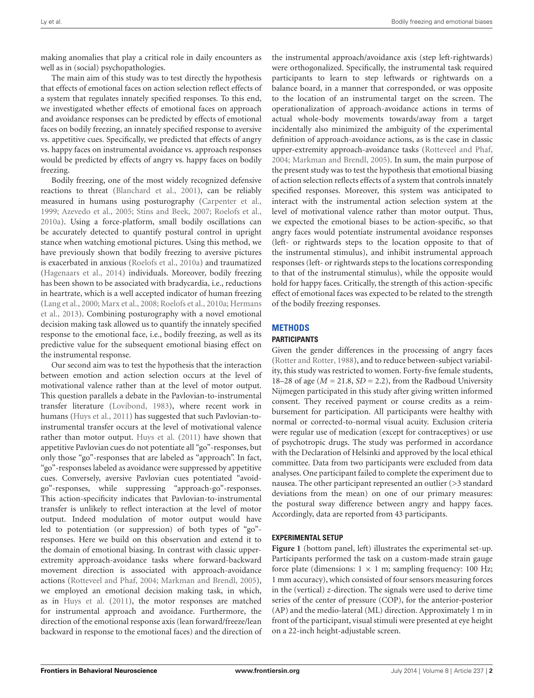making anomalies that play a critical role in daily encounters as well as in (social) psychopathologies.

The main aim of this study was to test directly the hypothesis that effects of emotional faces on action selection reflect effects of a system that regulates innately specified responses. To this end, we investigated whether effects of emotional faces on approach and avoidance responses can be predicted by effects of emotional faces on bodily freezing, an innately specified response to aversive vs. appetitive cues. Specifically, we predicted that effects of angry vs. happy faces on instrumental avoidance vs. approach responses would be predicted by effects of angry vs. happy faces on bodily freezing.

Bodily freezing, one of the most widely recognized defensive reactions to threat [\(Blanchard et al.,](#page-7-19) [2001\)](#page-7-19), can be reliably measured in humans using posturography [\(Carpenter et al.,](#page-7-20) [1999;](#page-7-20) [Azevedo et al.,](#page-7-21) [2005;](#page-7-21) [Stins and Beek,](#page-8-13) [2007;](#page-8-13) [Roelofs et al.,](#page-8-14) [2010a\)](#page-8-14). Using a force-platform, small bodily oscillations can be accurately detected to quantify postural control in upright stance when watching emotional pictures. Using this method, we have previously shown that bodily freezing to aversive pictures is exacerbated in anxious [\(Roelofs et al.,](#page-8-14) [2010a\)](#page-8-14) and traumatized [\(Hagenaars et al.,](#page-7-22) [2014\)](#page-7-22) individuals. Moreover, bodily freezing has been shown to be associated with bradycardia, i.e., reductions in heartrate, which is a well accepted indicator of human freezing [\(Lang et al.,](#page-8-15) [2000;](#page-8-15) [Marx et al.,](#page-8-16) [2008;](#page-8-16) [Roelofs et al.,](#page-8-14) [2010a;](#page-8-14) [Hermans](#page-7-23) [et al.,](#page-7-23) [2013\)](#page-7-23). Combining posturography with a novel emotional decision making task allowed us to quantify the innately specified response to the emotional face, i.e., bodily freezing, as well as its predictive value for the subsequent emotional biasing effect on the instrumental response.

Our second aim was to test the hypothesis that the interaction between emotion and action selection occurs at the level of motivational valence rather than at the level of motor output. This question parallels a debate in the Pavlovian-to-instrumental transfer literature [\(Lovibond,](#page-8-6) [1983\)](#page-8-6), where recent work in humans [\(Huys et al.,](#page-8-17) [2011\)](#page-8-17) has suggested that such Pavlovian-toinstrumental transfer occurs at the level of motivational valence rather than motor output. [Huys et al.](#page-8-17) [\(2011\)](#page-8-17) have shown that appetitive Pavlovian cues do not potentiate all "go"-responses, but only those "go"-responses that are labeled as "approach". In fact, "go"-responses labeled as avoidance were suppressed by appetitive cues. Conversely, aversive Pavlovian cues potentiated "avoidgo"-responses, while suppressing "approach-go"-responses. This action-specificity indicates that Pavlovian-to-instrumental transfer is unlikely to reflect interaction at the level of motor output. Indeed modulation of motor output would have led to potentiation (or suppression) of both types of "go" responses. Here we build on this observation and extend it to the domain of emotional biasing. In contrast with classic upperextremity approach-avoidance tasks where forward-backward movement direction is associated with approach-avoidance actions [\(Rotteveel and Phaf,](#page-8-18) [2004;](#page-8-18) [Markman and Brendl,](#page-8-19) [2005\)](#page-8-19), we employed an emotional decision making task, in which, as in [Huys et al.](#page-8-17) [\(2011\)](#page-8-17), the motor responses are matched for instrumental approach and avoidance. Furthermore, the direction of the emotional response axis (lean forward/freeze/lean backward in response to the emotional faces) and the direction of the instrumental approach/avoidance axis (step left-rightwards) were orthogonalized. Specifically, the instrumental task required participants to learn to step leftwards or rightwards on a balance board, in a manner that corresponded, or was opposite to the location of an instrumental target on the screen. The operationalization of approach-avoidance actions in terms of actual whole-body movements towards/away from a target incidentally also minimized the ambiguity of the experimental definition of approach-avoidance actions, as is the case in classic upper-extremity approach-avoidance tasks [\(Rotteveel and Phaf,](#page-8-18) [2004;](#page-8-18) [Markman and Brendl,](#page-8-19) [2005\)](#page-8-19). In sum, the main purpose of the present study was to test the hypothesis that emotional biasing of action selection reflects effects of a system that controls innately specified responses. Moreover, this system was anticipated to interact with the instrumental action selection system at the level of motivational valence rather than motor output. Thus, we expected the emotional biases to be action-specific, so that angry faces would potentiate instrumental avoidance responses (left- or rightwards steps to the location opposite to that of the instrumental stimulus), and inhibit instrumental approach responses (left- or rightwards steps to the locations corresponding to that of the instrumental stimulus), while the opposite would hold for happy faces. Critically, the strength of this action-specific effect of emotional faces was expected to be related to the strength of the bodily freezing responses.

## **METHODS**

#### **PARTICIPANTS**

Given the gender differences in the processing of angry faces [\(Rotter and Rotter,](#page-8-20) [1988\)](#page-8-20), and to reduce between-subject variability, this study was restricted to women. Forty-five female students, 18–28 of age  $(M = 21.8, SD = 2.2)$ , from the Radboud University Nijmegen participated in this study after giving written informed consent. They received payment or course credits as a reimbursement for participation. All participants were healthy with normal or corrected-to-normal visual acuity. Exclusion criteria were regular use of medication (except for contraceptives) or use of psychotropic drugs. The study was performed in accordance with the Declaration of Helsinki and approved by the local ethical committee. Data from two participants were excluded from data analyses. One participant failed to complete the experiment due to nausea. The other participant represented an outlier (>3 standard deviations from the mean) on one of our primary measures: the postural sway difference between angry and happy faces. Accordingly, data are reported from 43 participants.

### **EXPERIMENTAL SETUP**

**[Figure 1](#page-2-0)** (bottom panel, left) illustrates the experimental set-up. Participants performed the task on a custom-made strain gauge force plate (dimensions:  $1 \times 1$  m; sampling frequency: 100 Hz; 1 mm accuracy), which consisted of four sensors measuring forces in the (vertical) *z*-direction. The signals were used to derive time series of the center of pressure (COP), for the anterior-posterior (AP) and the medio-lateral (ML) direction. Approximately 1 m in front of the participant, visual stimuli were presented at eye height on a 22-inch height-adjustable screen.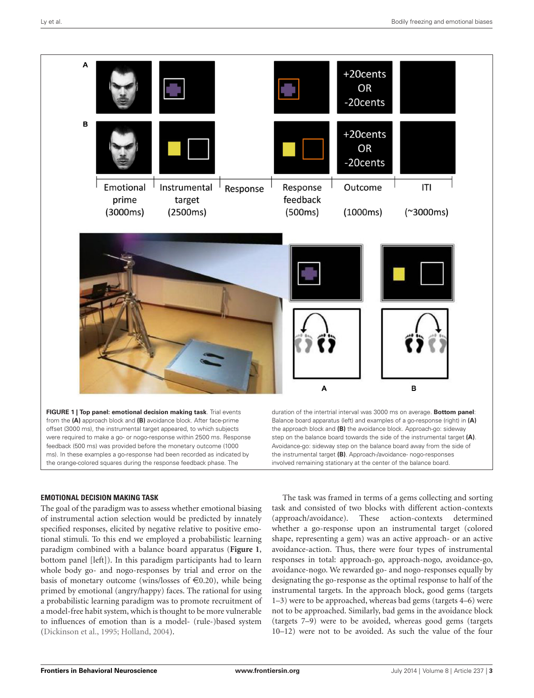

#### <span id="page-2-0"></span>**EMOTIONAL DECISION MAKING TASK**

The goal of the paradigm was to assess whether emotional biasing of instrumental action selection would be predicted by innately specified responses, elicited by negative relative to positive emotional stimuli. To this end we employed a probabilistic learning paradigm combined with a balance board apparatus (**[Figure 1](#page-2-0)**, bottom panel [left]). In this paradigm participants had to learn whole body go- and nogo-responses by trial and error on the basis of monetary outcome (wins/losses of  $\in$ 0.20), while being primed by emotional (angry/happy) faces. The rational for using a probabilistic learning paradigm was to promote recruitment of a model-free habit system, which is thought to be more vulnerable to influences of emotion than is a model- (rule-)based system [\(Dickinson et al.,](#page-7-24) [1995;](#page-7-24) [Holland,](#page-7-25) [2004\)](#page-7-25).

The task was framed in terms of a gems collecting and sorting task and consisted of two blocks with different action-contexts (approach/avoidance). These action-contexts determined whether a go-response upon an instrumental target (colored shape, representing a gem) was an active approach- or an active avoidance-action. Thus, there were four types of instrumental responses in total: approach-go, approach-nogo, avoidance-go, avoidance-nogo. We rewarded go- and nogo-responses equally by designating the go-response as the optimal response to half of the instrumental targets. In the approach block, good gems (targets 1–3) were to be approached, whereas bad gems (targets 4–6) were not to be approached. Similarly, bad gems in the avoidance block (targets 7–9) were to be avoided, whereas good gems (targets 10–12) were not to be avoided. As such the value of the four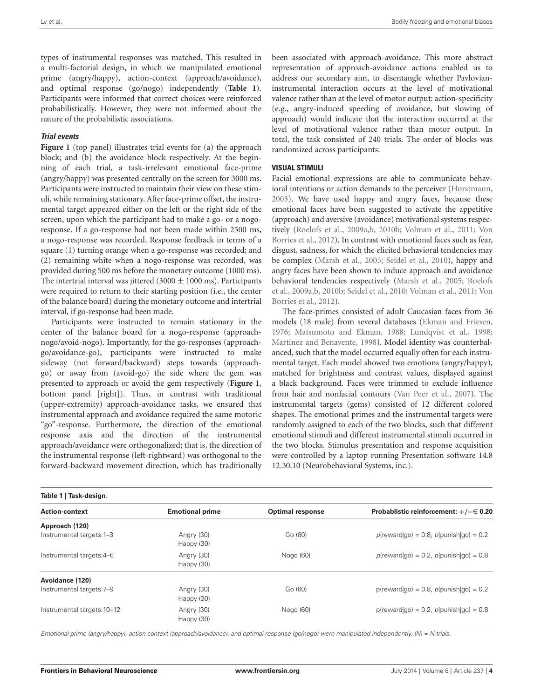types of instrumental responses was matched. This resulted in a multi-factorial design, in which we manipulated emotional prime (angry/happy), action-context (approach/avoidance), and optimal response (go/nogo) independently (**[Table 1](#page-3-0)**). Participants were informed that correct choices were reinforced probabilistically. However, they were not informed about the nature of the probabilistic associations.

#### **Trial events**

[Figure 1](#page-2-0) (top panel) illustrates trial events for (a) the approach block; and (b) the avoidance block respectively. At the beginning of each trial, a task-irrelevant emotional face-prime (angry/happy) was presented centrally on the screen for 3000 ms. Participants were instructed to maintain their view on these stimuli, while remaining stationary. After face-prime offset, the instrumental target appeared either on the left or the right side of the screen, upon which the participant had to make a go- or a nogoresponse. If a go-response had not been made within 2500 ms, a nogo-response was recorded. Response feedback in terms of a square (1) turning orange when a go-response was recorded; and (2) remaining white when a nogo-response was recorded, was provided during 500 ms before the monetary outcome (1000 ms). The intertrial interval was jittered (3000  $\pm$  1000 ms). Participants were required to return to their starting position (i.e., the center of the balance board) during the monetary outcome and intertrial interval, if go-response had been made.

Participants were instructed to remain stationary in the center of the balance board for a nogo-response (approachnogo/avoid-nogo). Importantly, for the go-responses (approachgo/avoidance-go), participants were instructed to make sideway (not forward/backward) steps towards (approachgo) or away from (avoid-go) the side where the gem was presented to approach or avoid the gem respectively (**[Figure 1](#page-2-0)**, bottom panel [right]). Thus, in contrast with traditional (upper-extremity) approach-avoidance tasks, we ensured that instrumental approach and avoidance required the same motoric "go"-response. Furthermore, the direction of the emotional response axis and the direction of the instrumental approach/avoidance were orthogonalized; that is, the direction of the instrumental response (left-rightward) was orthogonal to the forward-backward movement direction, which has traditionally

been associated with approach-avoidance. This more abstract representation of approach-avoidance actions enabled us to address our secondary aim, to disentangle whether Pavlovianinstrumental interaction occurs at the level of motivational valence rather than at the level of motor output: action-specificity (e.g., angry-induced speeding of avoidance, but slowing of approach) would indicate that the interaction occurred at the level of motivational valence rather than motor output. In total, the task consisted of 240 trials. The order of blocks was randomized across participants.

#### **VISUAL STIMULI**

Facial emotional expressions are able to communicate behavioral intentions or action demands to the perceiver [\(Horstmann,](#page-8-21) [2003\)](#page-8-21). We have used happy and angry faces, because these emotional faces have been suggested to activate the appetitive (approach) and aversive (avoidance) motivational systems respectively [\(Roelofs et al.,](#page-8-0) [2009a,](#page-8-0)[b,](#page-8-1) [2010b;](#page-8-2) [Volman et al.,](#page-8-22) [2011;](#page-8-22) [Von](#page-8-3) [Borries et al.,](#page-8-3) [2012\)](#page-8-3). In contrast with emotional faces such as fear, disgust, sadness, for which the elicited behavioral tendencies may be complex [\(Marsh et al.,](#page-8-23) [2005;](#page-8-23) [Seidel et al.,](#page-8-24) [2010\)](#page-8-24), happy and angry faces have been shown to induce approach and avoidance behavioral tendencies respectively [\(Marsh et al.,](#page-8-23) [2005;](#page-8-23) [Roelofs](#page-8-0) [et al.,](#page-8-0) [2009a](#page-8-0)[,b,](#page-8-1) [2010b;](#page-8-2) [Seidel et al.,](#page-8-24) [2010;](#page-8-24) [Volman et al.,](#page-8-22) [2011;](#page-8-22) [Von](#page-8-3) [Borries et al.,](#page-8-3) [2012\)](#page-8-3).

The face-primes consisted of adult Caucasian faces from 36 models (18 male) from several databases [\(Ekman and Friesen,](#page-7-26) [1976;](#page-7-26) [Matsumoto and Ekman,](#page-8-25) [1988;](#page-8-25) [Lundqvist et al.,](#page-8-26) [1998;](#page-8-26) [Martinez and Benavente,](#page-8-27) [1998\)](#page-8-27). Model identity was counterbalanced, such that the model occurred equally often for each instrumental target. Each model showed two emotions (angry/happy), matched for brightness and contrast values, displayed against a black background. Faces were trimmed to exclude influence from hair and nonfacial contours [\(Van Peer et al.,](#page-8-28) [2007\)](#page-8-28). The instrumental targets (gems) consisted of 12 different colored shapes. The emotional primes and the instrumental targets were randomly assigned to each of the two blocks, such that different emotional stimuli and different instrumental stimuli occurred in the two blocks. Stimulus presentation and response acquisition were controlled by a laptop running Presentation software 14.8 12.30.10 (Neurobehavioral Systems, inc.).

<span id="page-3-0"></span>

| Table 1   Task-design.      |                          |                         |                                              |  |
|-----------------------------|--------------------------|-------------------------|----------------------------------------------|--|
| <b>Action-context</b>       | <b>Emotional prime</b>   | <b>Optimal response</b> | Probablistic reinforcement: $+/- \in 0.20$   |  |
| Approach (120)              |                          |                         |                                              |  |
| Instrumental targets: 1-3   | Angry (30)<br>Happy (30) | Go (60)                 | $p$ (reward go) = 0.8, $p$ (punish go) = 0.2 |  |
| Instrumental targets: 4-6   | Angry (30)<br>Happy (30) | Nogo (60)               | $p$ (reward go) = 0.2, $p$ (punish go) = 0.8 |  |
| Avoidance (120)             |                          |                         |                                              |  |
| Instrumental targets: 7-9   | Angry (30)<br>Happy (30) | Go (60)                 | $p$ (reward go) = 0.8, $p$ (punish go) = 0.2 |  |
| Instrumental targets: 10-12 | Angry (30)<br>Happy (30) | Nogo (60)               | $p$ (reward go) = 0.2, $p$ (punish go) = 0.8 |  |

Emotional prime (angry/happy), action-context (approach/avoidance), and optimal response (go/nogo) were manipulated independently. (N) = N trials.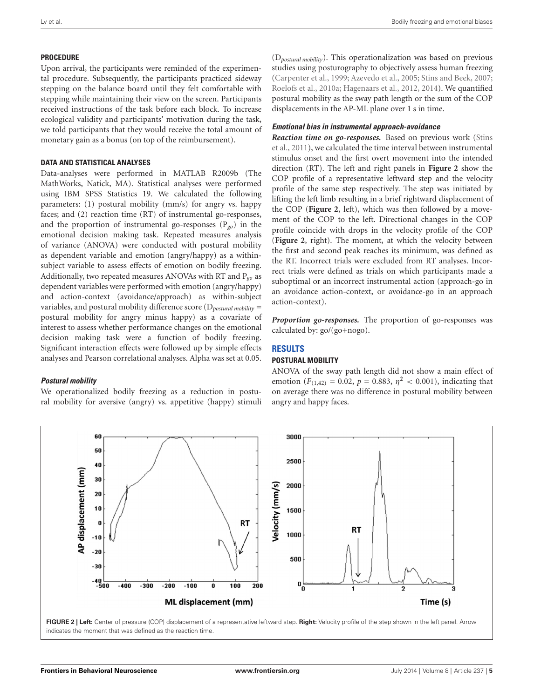## **PROCEDURE**

Upon arrival, the participants were reminded of the experimental procedure. Subsequently, the participants practiced sideway stepping on the balance board until they felt comfortable with stepping while maintaining their view on the screen. Participants received instructions of the task before each block. To increase ecological validity and participants' motivation during the task, we told participants that they would receive the total amount of monetary gain as a bonus (on top of the reimbursement).

## **DATA AND STATISTICAL ANALYSES**

Data-analyses were performed in MATLAB R2009b (The MathWorks, Natick, MA). Statistical analyses were performed using IBM SPSS Statistics 19. We calculated the following parameters: (1) postural mobility (mm/s) for angry vs. happy faces; and (2) reaction time (RT) of instrumental go-responses, and the proportion of instrumental go-responses (P*go*) in the emotional decision making task. Repeated measures analysis of variance (ANOVA) were conducted with postural mobility as dependent variable and emotion (angry/happy) as a withinsubject variable to assess effects of emotion on bodily freezing. Additionally, two repeated measures ANOVAs with RT and P*go* as dependent variables were performed with emotion (angry/happy) and action-context (avoidance/approach) as within-subject variables, and postural mobility difference score (D*postural mobility* = postural mobility for angry minus happy) as a covariate of interest to assess whether performance changes on the emotional decision making task were a function of bodily freezing. Significant interaction effects were followed up by simple effects analyses and Pearson correlational analyses. Alpha was set at 0.05.

## **Postural mobility**

We operationalized bodily freezing as a reduction in postural mobility for aversive (angry) vs. appetitive (happy) stimuli

(D*postural mobility*). This operationalization was based on previous studies using posturography to objectively assess human freezing [\(Carpenter et al.,](#page-7-20) [1999;](#page-7-20) [Azevedo et al.,](#page-7-21) [2005;](#page-7-21) [Stins and Beek,](#page-8-13) [2007;](#page-8-13) [Roelofs et al.,](#page-8-14) [2010a;](#page-8-14) [Hagenaars et al.,](#page-7-27) [2012,](#page-7-27) [2014\)](#page-7-22). We quantified postural mobility as the sway path length or the sum of the COP displacements in the AP-ML plane over 1 s in time.

## **Emotional bias in instrumental approach-avoidance**

*Reaction time on go-responses.* Based on previous work [\(Stins](#page-8-29) [et al.,](#page-8-29) [2011\)](#page-8-29), we calculated the time interval between instrumental stimulus onset and the first overt movement into the intended direction (RT). The left and right panels in **[Figure 2](#page-4-0)** show the COP profile of a representative leftward step and the velocity profile of the same step respectively. The step was initiated by lifting the left limb resulting in a brief rightward displacement of the COP (**[Figure 2](#page-4-0)**, left), which was then followed by a movement of the COP to the left. Directional changes in the COP profile coincide with drops in the velocity profile of the COP (**[Figure 2](#page-4-0)**, right). The moment, at which the velocity between the first and second peak reaches its minimum, was defined as the RT. Incorrect trials were excluded from RT analyses. Incorrect trials were defined as trials on which participants made a suboptimal or an incorrect instrumental action (approach-go in an avoidance action-context, or avoidance-go in an approach action-context).

*Proportion go-responses.* The proportion of go-responses was calculated by: go/(go+nogo).

## **RESULTS**

### **POSTURAL MOBILITY**

ANOVA of the sway path length did not show a main effect of emotion ( $F_{(1,42)} = 0.02$ ,  $p = 0.883$ ,  $\eta^2 < 0.001$ ), indicating that on average there was no difference in postural mobility between angry and happy faces.



<span id="page-4-0"></span>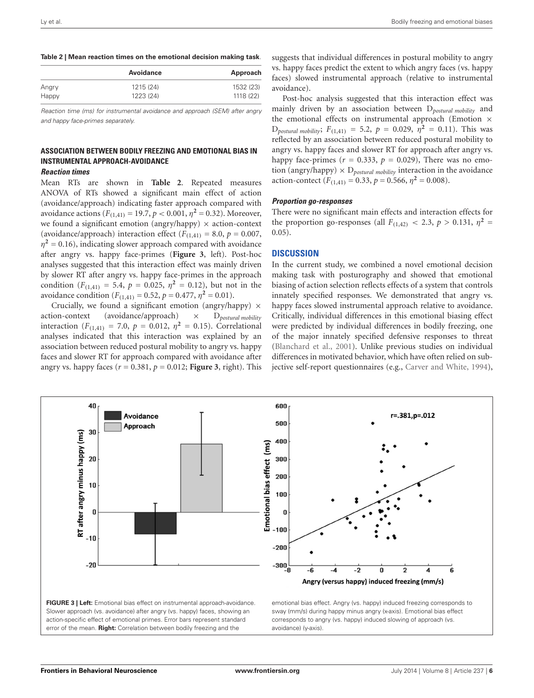#### <span id="page-5-0"></span>**Table 2 | Mean reaction times on the emotional decision making task**.

|       | Avoidance | Approach  |
|-------|-----------|-----------|
| Angry | 1215 (24) | 1532 (23) |
| Happy | 1223 (24) | 1118 (22) |

Reaction time (ms) for instrumental avoidance and approach (SEM) after angry and happy face-primes separately.

## **ASSOCIATION BETWEEN BODILY FREEZING AND EMOTIONAL BIAS IN INSTRUMENTAL APPROACH-AVOIDANCE**

#### **Reaction times**

Mean RTs are shown in **[Table 2](#page-5-0)**. Repeated measures ANOVA of RTs showed a significant main effect of action (avoidance/approach) indicating faster approach compared with avoidance actions ( $F_{(1,41)} = 19.7$ ,  $p < 0.001$ ,  $\eta^2 = 0.32$ ). Moreover, we found a significant emotion (angry/happy)  $\times$  action-context (avoidance/approach) interaction effect  $(F_{(1,41)} = 8.0, p = 0.007,$  $\eta^2$  = 0.16), indicating slower approach compared with avoidance after angry vs. happy face-primes (**[Figure 3](#page-5-1)**, left). Post-hoc analyses suggested that this interaction effect was mainly driven by slower RT after angry vs. happy face-primes in the approach condition ( $F_{(1,41)} = 5.4$ ,  $p = 0.025$ ,  $\eta^2 = 0.12$ ), but not in the avoidance condition ( $F_{(1,41)} = 0.52$ ,  $p = 0.477$ ,  $\eta^2 = 0.01$ ).

Crucially, we found a significant emotion (angry/happy)  $\times$ action-context (avoidance/approach) × D*postural mobility* interaction ( $F_{(1,41)} = 7.0$ ,  $p = 0.012$ ,  $\eta^2 = 0.15$ ). Correlational analyses indicated that this interaction was explained by an association between reduced postural mobility to angry vs. happy faces and slower RT for approach compared with avoidance after angry vs. happy faces  $(r = 0.381, p = 0.012$ ; **[Figure 3](#page-5-1)**, right). This

suggests that individual differences in postural mobility to angry vs. happy faces predict the extent to which angry faces (vs. happy faces) slowed instrumental approach (relative to instrumental avoidance).

Post-hoc analysis suggested that this interaction effect was mainly driven by an association between D*postural mobility* and the emotional effects on instrumental approach (Emotion  $\times$  $D_{\text{postural mobility}}$ ;  $F_{(1,41)} = 5.2$ ,  $p = 0.029$ ,  $\eta^2 = 0.11$ ). This was reflected by an association between reduced postural mobility to angry vs. happy faces and slower RT for approach after angry vs. happy face-primes ( $r = 0.333$ ,  $p = 0.029$ ), There was no emotion (angry/happy)  $\times$  D<sub>postural mobility</sub> interaction in the avoidance action-contect ( $F_{(1,41)} = 0.33$ ,  $p = 0.566$ ,  $\eta^2 = 0.008$ ).

#### **Proportion go-responses**

There were no significant main effects and interaction effects for the proportion go-responses (all  $F_{(1,42)} < 2.3$ ,  $p > 0.131$ ,  $\eta^2 =$ 0.05).

#### **DISCUSSION**

In the current study, we combined a novel emotional decision making task with posturography and showed that emotional biasing of action selection reflects effects of a system that controls innately specified responses. We demonstrated that angry vs. happy faces slowed instrumental approach relative to avoidance. Critically, individual differences in this emotional biasing effect were predicted by individual differences in bodily freezing, one of the major innately specified defensive responses to threat [\(Blanchard et al.,](#page-7-19) [2001\)](#page-7-19). Unlike previous studies on individual differences in motivated behavior, which have often relied on subjective self-report questionnaires (e.g., [Carver and White,](#page-7-10) [1994\)](#page-7-10),

<span id="page-5-1"></span>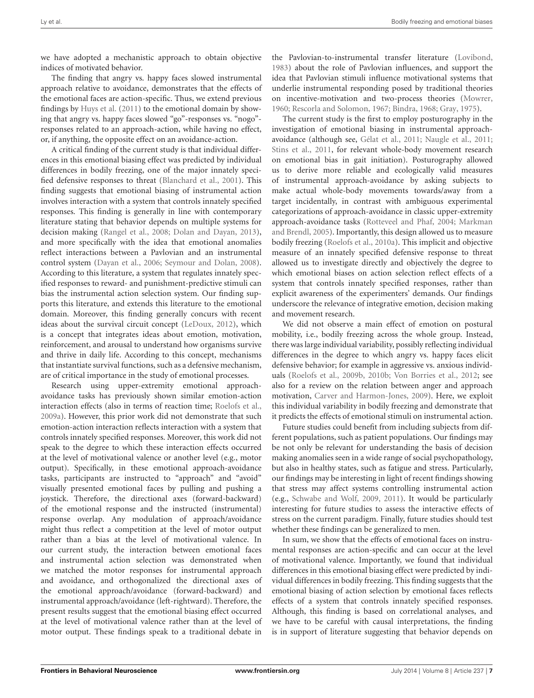we have adopted a mechanistic approach to obtain objective indices of motivated behavior.

The finding that angry vs. happy faces slowed instrumental approach relative to avoidance, demonstrates that the effects of the emotional faces are action-specific. Thus, we extend previous findings by [Huys et al.](#page-8-17) [\(2011\)](#page-8-17) to the emotional domain by showing that angry vs. happy faces slowed "go"-responses vs. "nogo" responses related to an approach-action, while having no effect, or, if anything, the opposite effect on an avoidance-action.

A critical finding of the current study is that individual differences in this emotional biasing effect was predicted by individual differences in bodily freezing, one of the major innately specified defensive responses to threat [\(Blanchard et al.,](#page-7-19) [2001\)](#page-7-19). This finding suggests that emotional biasing of instrumental action involves interaction with a system that controls innately specified responses. This finding is generally in line with contemporary literature stating that behavior depends on multiple systems for decision making [\(Rangel et al.,](#page-8-30) [2008;](#page-8-30) [Dolan and Dayan,](#page-7-28) [2013\)](#page-7-28), and more specifically with the idea that emotional anomalies reflect interactions between a Pavlovian and an instrumental control system [\(Dayan et al.,](#page-7-3) [2006;](#page-7-3) [Seymour and Dolan,](#page-8-5) [2008\)](#page-8-5). According to this literature, a system that regulates innately specified responses to reward- and punishment-predictive stimuli can bias the instrumental action selection system. Our finding supports this literature, and extends this literature to the emotional domain. Moreover, this finding generally concurs with recent ideas about the survival circuit concept [\(LeDoux,](#page-8-31) [2012\)](#page-8-31), which is a concept that integrates ideas about emotion, motivation, reinforcement, and arousal to understand how organisms survive and thrive in daily life. According to this concept, mechanisms that instantiate survival functions, such as a defensive mechanism, are of critical importance in the study of emotional processes.

Research using upper-extremity emotional approachavoidance tasks has previously shown similar emotion-action interaction effects (also in terms of reaction time; [Roelofs et al.,](#page-8-0) [2009a\)](#page-8-0). However, this prior work did not demonstrate that such emotion-action interaction reflects interaction with a system that controls innately specified responses. Moreover, this work did not speak to the degree to which these interaction effects occurred at the level of motivational valence or another level (e.g., motor output). Specifically, in these emotional approach-avoidance tasks, participants are instructed to "approach" and "avoid" visually presented emotional faces by pulling and pushing a joystick. Therefore, the directional axes (forward-backward) of the emotional response and the instructed (instrumental) response overlap. Any modulation of approach/avoidance might thus reflect a competition at the level of motor output rather than a bias at the level of motivational valence. In our current study, the interaction between emotional faces and instrumental action selection was demonstrated when we matched the motor responses for instrumental approach and avoidance, and orthogonalized the directional axes of the emotional approach/avoidance (forward-backward) and instrumental approach/avoidance (left-rightward). Therefore, the present results suggest that the emotional biasing effect occurred at the level of motivational valence rather than at the level of motor output. These findings speak to a traditional debate in

the Pavlovian-to-instrumental transfer literature [\(Lovibond,](#page-8-6) [1983\)](#page-8-6) about the role of Pavlovian influences, and support the idea that Pavlovian stimuli influence motivational systems that underlie instrumental responding posed by traditional theories on incentive-motivation and two-process theories [\(Mowrer,](#page-8-32) [1960;](#page-8-32) [Rescorla and Solomon,](#page-8-33) [1967;](#page-8-33) [Bindra,](#page-7-29) [1968;](#page-7-29) [Gray,](#page-7-30) [1975\)](#page-7-30).

The current study is the first to employ posturography in the investigation of emotional biasing in instrumental approachavoidance (although see, [Gélat et al.,](#page-7-31) [2011;](#page-7-31) [Naugle et al.,](#page-8-34) [2011;](#page-8-34) [Stins et al.,](#page-8-29) [2011,](#page-8-29) for relevant whole-body movement research on emotional bias in gait initiation). Posturography allowed us to derive more reliable and ecologically valid measures of instrumental approach-avoidance by asking subjects to make actual whole-body movements towards/away from a target incidentally, in contrast with ambiguous experimental categorizations of approach-avoidance in classic upper-extremity approach-avoidance tasks [\(Rotteveel and Phaf,](#page-8-18) [2004;](#page-8-18) [Markman](#page-8-19) [and Brendl,](#page-8-19) [2005\)](#page-8-19). Importantly, this design allowed us to measure bodily freezing [\(Roelofs et al.,](#page-8-14) [2010a\)](#page-8-14). This implicit and objective measure of an innately specified defensive response to threat allowed us to investigate directly and objectively the degree to which emotional biases on action selection reflect effects of a system that controls innately specified responses, rather than explicit awareness of the experimenters' demands. Our findings underscore the relevance of integrative emotion, decision making and movement research.

We did not observe a main effect of emotion on postural mobility, i.e., bodily freezing across the whole group. Instead, there was large individual variability, possibly reflecting individual differences in the degree to which angry vs. happy faces elicit defensive behavior; for example in aggressive vs. anxious individuals [\(Roelofs et al.,](#page-8-1) [2009b,](#page-8-1) [2010b;](#page-8-2) [Von Borries et al.,](#page-8-3) [2012;](#page-8-3) see also for a review on the relation between anger and approach motivation, [Carver and Harmon-Jones,](#page-7-32) [2009\)](#page-7-32). Here, we exploit this individual variability in bodily freezing and demonstrate that it predicts the effects of emotional stimuli on instrumental action.

Future studies could benefit from including subjects from different populations, such as patient populations. Our findings may be not only be relevant for understanding the basis of decision making anomalies seen in a wide range of social psychopathology, but also in healthy states, such as fatigue and stress. Particularly, our findings may be interesting in light of recent findings showing that stress may affect systems controlling instrumental action (e.g., [Schwabe and Wolf,](#page-8-35) [2009,](#page-8-35) [2011\)](#page-8-36). It would be particularly interesting for future studies to assess the interactive effects of stress on the current paradigm. Finally, future studies should test whether these findings can be generalized to men.

In sum, we show that the effects of emotional faces on instrumental responses are action-specific and can occur at the level of motivational valence. Importantly, we found that individual differences in this emotional biasing effect were predicted by individual differences in bodily freezing. This finding suggests that the emotional biasing of action selection by emotional faces reflects effects of a system that controls innately specified responses. Although, this finding is based on correlational analyses, and we have to be careful with causal interpretations, the finding is in support of literature suggesting that behavior depends on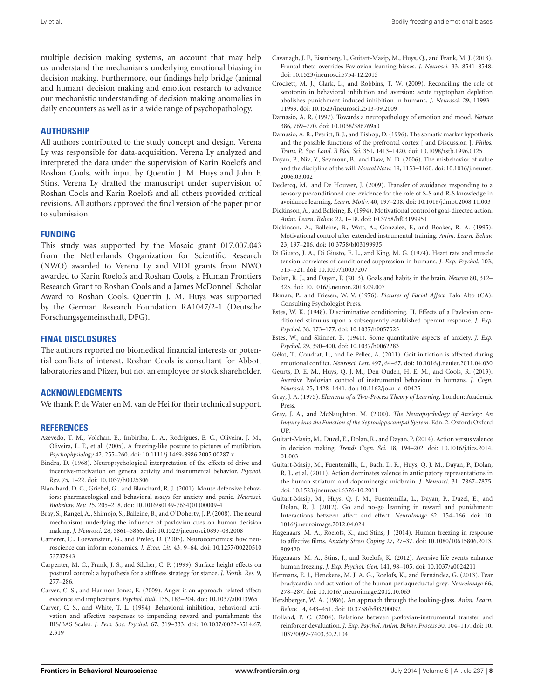multiple decision making systems, an account that may help us understand the mechanisms underlying emotional biasing in decision making. Furthermore, our findings help bridge (animal and human) decision making and emotion research to advance our mechanistic understanding of decision making anomalies in daily encounters as well as in a wide range of psychopathology.

#### **AUTHORSHIP**

All authors contributed to the study concept and design. Verena Ly was responsible for data-acquisition. Verena Ly analyzed and interpreted the data under the supervision of Karin Roelofs and Roshan Cools, with input by Quentin J. M. Huys and John F. Stins. Verena Ly drafted the manuscript under supervision of Roshan Cools and Karin Roelofs and all others provided critical revisions. All authors approved the final version of the paper prior to submission.

#### **FUNDING**

This study was supported by the Mosaic grant 017.007.043 from the Netherlands Organization for Scientific Research (NWO) awarded to Verena Ly and VIDI grants from NWO awarded to Karin Roelofs and Roshan Cools, a Human Frontiers Research Grant to Roshan Cools and a James McDonnell Scholar Award to Roshan Cools. Quentin J. M. Huys was supported by the German Research Foundation RA1047/2-1 (Deutsche Forschungsgemeinschaft, DFG).

#### **FINAL DISCLOSURES**

The authors reported no biomedical financial interests or potential conflicts of interest. Roshan Cools is consultant for Abbott laboratories and Pfizer, but not an employee or stock shareholder.

#### **ACKNOWLEDGMENTS**

We thank P. de Water en M. van de Hei for their technical support.

#### **REFERENCES**

- <span id="page-7-21"></span>Azevedo, T. M., Volchan, E., Imbiriba, L. A., Rodrigues, E. C., Oliveira, J. M., Oliveira, L. F., et al. (2005). A freezing-like posture to pictures of mutilation. *Psychophysiology* 42, 255–260. doi: 10.1111/j.1469-8986.2005.00287.x
- <span id="page-7-29"></span>Bindra, D. (1968). Neuropsychological interpretation of the effects of drive and incentive-motivation on general activity and instrumental behavior. *Psychol. Rev.* 75, 1–22. doi: 10.1037/h0025306
- <span id="page-7-19"></span>Blanchard, D. C., Griebel, G., and Blanchard, R. J. (2001). Mouse defensive behaviors: pharmacological and behavioral assays for anxiety and panic. *Neurosci. Biobehav. Rev.* 25, 205–218. doi: 10.1016/s0149-7634(01)00009-4
- <span id="page-7-16"></span>Bray, S., Rangel, A., Shimojo, S., Balleine, B., and O'Doherty, J. P. (2008). The neural mechanisms underlying the influence of pavlovian cues on human decision making. *J. Neurosci.* 28, 5861–5866. doi: 10.1523/jneurosci.0897-08.2008
- <span id="page-7-2"></span>Camerer, C., Loewenstein, G., and Prelec, D. (2005). Neuroeconomics: how neuroscience can inform economics. *J. Econ. Lit.* 43, 9–64. doi: 10.1257/00220510 53737843
- <span id="page-7-20"></span>Carpenter, M. C., Frank, J. S., and Silcher, C. P. (1999). Surface height effects on postural control: a hypothesis for a stiffness strategy for stance. *J. Vestib. Res.* 9, 277–286.
- <span id="page-7-32"></span>Carver, C. S., and Harmon-Jones, E. (2009). Anger is an approach-related affect: evidence and implications. *Psychol. Bull.* 135, 183–204. doi: 10.1037/a0013965
- <span id="page-7-10"></span>Carver, C. S., and White, T. L. (1994). Behavioral inhibition, behavioral activation and affective responses to impending reward and punishment: the BIS/BAS Scales. *J. Pers. Soc. Psychol.* 67, 319–333. doi: 10.1037/0022-3514.67. 2.319
- <span id="page-7-9"></span>Cavanagh, J. F., Eisenberg, I., Guitart-Masip, M., Huys, Q., and Frank, M. J. (2013). Frontal theta overrides Pavlovian learning biases. *J. Neurosci.* 33, 8541–8548. doi: 10.1523/jneurosci.5754-12.2013
- <span id="page-7-5"></span>Crockett, M. J., Clark, L., and Robbins, T. W. (2009). Reconciling the role of serotonin in behavioral inhibition and aversion: acute tryptophan depletion abolishes punishment-induced inhibition in humans. *J. Neurosci.* 29, 11993– 11999. doi: 10.1523/jneurosci.2513-09.2009
- <span id="page-7-1"></span>Damasio, A. R. (1997). Towards a neuropathology of emotion and mood. *Nature* 386, 769–770. doi: 10.1038/386769a0
- <span id="page-7-0"></span>Damasio, A. R., Everitt, B. J., and Bishop, D. (1996). The somatic marker hypothesis and the possible functions of the prefrontal cortex [ and Discussion ]. *Philos. Trans. R. Soc. Lond. B Biol. Sci.* 351, 1413–1420. doi: 10.1098/rstb.1996.0125
- <span id="page-7-3"></span>Dayan, P., Niv, Y., Seymour, B., and Daw, N. D. (2006). The misbehavior of value and the discipline of the will. *Neural Netw.* 19, 1153–1160. doi: 10.1016/j.neunet. 2006.03.002
- <span id="page-7-17"></span>Declercq, M., and De Houwer, J. (2009). Transfer of avoidance responding to a sensory preconditioned cue: evidence for the role of S-S and R-S knowledge in avoidance learning. *Learn. Motiv.* 40, 197–208. doi: 10.1016/j.lmot.2008.11.003
- <span id="page-7-15"></span>Dickinson, A., and Balleine, B. (1994). Motivational control of goal-directed action. *Anim. Learn. Behav.* 22, 1–18. doi: 10.3758/bf03199951
- <span id="page-7-24"></span>Dickinson, A., Balleine, B., Watt, A., Gonzalez, F., and Boakes, R. A. (1995). Motivational control after extended instrumental training. *Anim. Learn. Behav.* 23, 197–206. doi: 10.3758/bf03199935
- <span id="page-7-14"></span>Di Giusto, J. A., Di Giusto, E. L., and King, M. G. (1974). Heart rate and muscle tension correlates of conditioned suppression in humans. *J. Exp. Psychol.* 103, 515–521. doi: 10.1037/h0037207
- <span id="page-7-28"></span>Dolan, R. J., and Dayan, P. (2013). Goals and habits in the brain. *Neuron* 80, 312– 325. doi: 10.1016/j.neuron.2013.09.007
- <span id="page-7-26"></span>Ekman, P., and Friesen, W. V. (1976). *Pictures of Facial Affect.* Palo Alto (CA): Consulting Psychologist Press.
- <span id="page-7-13"></span>Estes, W. K. (1948). Discriminative conditioning. II. Effects of a Pavlovian conditioned stimulus upon a subsequently established operant response. *J. Exp. Psychol.* 38, 173–177. doi: 10.1037/h0057525
- <span id="page-7-12"></span>Estes, W., and Skinner, B. (1941). Some quantitative aspects of anxiety. *J. Exp. Psychol.* 29, 390–400. doi: 10.1037/h0062283
- <span id="page-7-31"></span>Gélat, T., Coudrat, L., and Le Pellec, A. (2011). Gait initiation is affected during emotional conflict. *Neurosci. Lett.* 497, 64–67. doi: 10.1016/j.neulet.2011.04.030
- <span id="page-7-18"></span>Geurts, D. E. M., Huys, Q. J. M., Den Ouden, H. E. M., and Cools, R. (2013). Aversive Pavlovian control of instrumental behaviour in humans. *J. Cogn. Neurosci.* 25, 1428–1441. doi: 10.1162/jocn\_a\_00425
- <span id="page-7-30"></span>Gray, J. A. (1975). *Elements of a Two-Process Theory of Learning.* London: Academic Press.
- <span id="page-7-11"></span>Gray, J. A., and McNaughton, M. (2000). *The Neuropsychology of Anxiety: An Inquiry into the Function of the Septohippocampal System.* Edn. 2. Oxford: Oxford UP.
- <span id="page-7-8"></span>Guitart-Masip, M., Duzel, E., Dolan, R., and Dayan, P. (2014). Action versus valence in decision making. *Trends Cogn. Sci.* 18, 194–202. doi: 10.1016/j.tics.2014. 01.003
- <span id="page-7-6"></span>Guitart-Masip, M., Fuentemilla, L., Bach, D. R., Huys, Q. J. M., Dayan, P., Dolan, R. J., et al. (2011). Action dominates valence in anticipatory representations in the human striatum and dopaminergic midbrain. *J. Neurosci.* 31, 7867–7875. doi: 10.1523/jneurosci.6376-10.2011
- <span id="page-7-7"></span>Guitart-Masip, M., Huys, Q. J. M., Fuentemilla, L., Dayan, P., Duzel, E., and Dolan, R. J. (2012). Go and no-go learning in reward and punishment: Interactions between affect and effect. *NeuroImage* 62, 154–166. doi: 10. 1016/j.neuroimage.2012.04.024
- <span id="page-7-22"></span>Hagenaars, M. A., Roelofs, K., and Stins, J. (2014). Human freezing in response to affective films. *Anxiety Stress Coping* 27, 27–37. doi: 10.1080/10615806.2013. 809420
- <span id="page-7-27"></span>Hagenaars, M. A., Stins, J., and Roelofs, K. (2012). Aversive life events enhance human freezing. *J. Exp. Psychol. Gen.* 141, 98–105. doi: 10.1037/a0024211
- <span id="page-7-23"></span>Hermans, E. J., Henckens, M. J. A. G., Roelofs, K., and Fernández, G. (2013). Fear bradycardia and activation of the human periaqueductal grey. *Neuroimage* 66, 278–287. doi: 10.1016/j.neuroimage.2012.10.063
- <span id="page-7-4"></span>Hershberger, W. A. (1986). An approach through the looking-glass. *Anim. Learn. Behav.* 14, 443–451. doi: 10.3758/bf03200092
- <span id="page-7-25"></span>Holland, P. C. (2004). Relations between pavlovian-instrumental transfer and reinforcer devaluation. *J. Exp. Psychol. Anim. Behav. Process* 30, 104–117. doi: 10. 1037/0097-7403.30.2.104